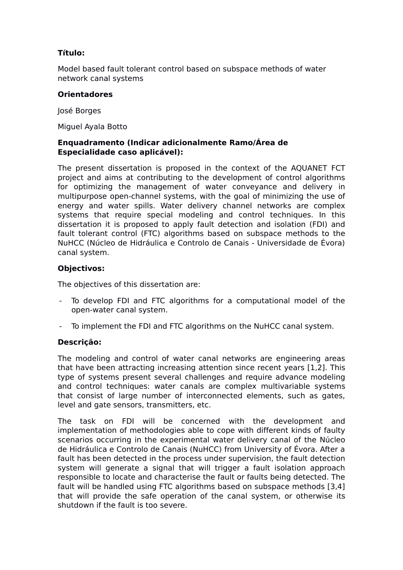# **Título:**

Model based fault tolerant control based on subspace methods of water network canal systems

### **Orientadores**

José Borges

Miguel Ayala Botto

### **Enquadramento (Indicar adicionalmente Ramo/Área de Especialidade caso aplicável):**

The present dissertation is proposed in the context of the AQUANET FCT project and aims at contributing to the development of control algorithms for optimizing the management of water conveyance and delivery in multipurpose open-channel systems, with the goal of minimizing the use of energy and water spills. Water delivery channel networks are complex systems that require special modeling and control techniques. In this dissertation it is proposed to apply fault detection and isolation (FDI) and fault tolerant control (FTC) algorithms based on subspace methods to the NuHCC (Núcleo de Hidráulica e Controlo de Canais - Universidade de Évora) canal system.

## **Objectivos:**

The objectives of this dissertation are:

- To develop FDI and FTC algorithms for a computational model of the open-water canal system.
- To implement the FDI and FTC algorithms on the NuHCC canal system.

# **Descrição:**

The modeling and control of water canal networks are engineering areas that have been attracting increasing attention since recent years [1,2]. This type of systems present several challenges and require advance modeling and control techniques: water canals are complex multivariable systems that consist of large number of interconnected elements, such as gates, level and gate sensors, transmitters, etc.

The task on FDI will be concerned with the development and implementation of methodologies able to cope with different kinds of faulty scenarios occurring in the experimental water delivery canal of the Núcleo de Hidráulica e Controlo de Canais (NuHCC) from University of Évora. After a fault has been detected in the process under supervision, the fault detection system will generate a signal that will trigger a fault isolation approach responsible to locate and characterise the fault or faults being detected. The fault will be handled using FTC algorithms based on subspace methods [3,4] that will provide the safe operation of the canal system, or otherwise its shutdown if the fault is too severe.